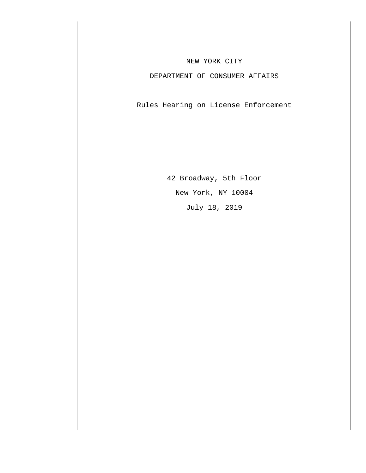## NEW YORK CITY

## DEPARTMENT OF CONSUMER AFFAIRS

Rules Hearing on License Enforcement

42 Broadway, 5th Floor New York, NY 10004 July 18, 2019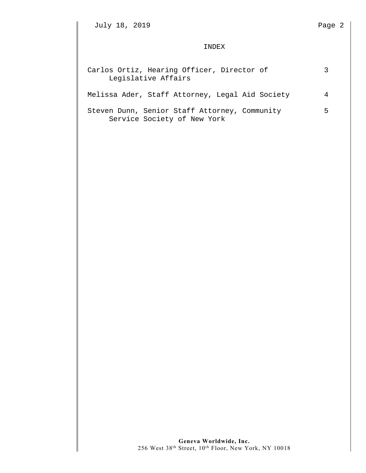July 18, 2019 Page 2

## INDEX

| Carlos Ortiz, Hearing Officer, Director of<br>Legislative Affairs            |   |
|------------------------------------------------------------------------------|---|
| Melissa Ader, Staff Attorney, Legal Aid Society                              |   |
| Steven Dunn, Senior Staff Attorney, Community<br>Service Society of New York | 5 |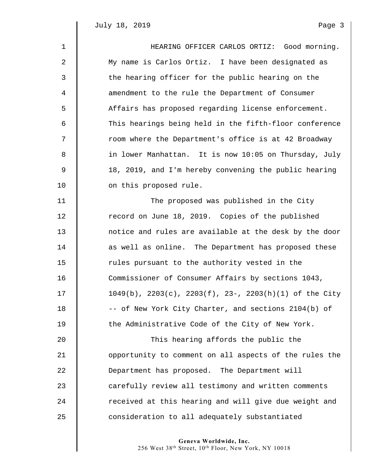$\mathbb I$ 

| $\mathbf{1}$ | HEARING OFFICER CARLOS ORTIZ: Good morning.                          |
|--------------|----------------------------------------------------------------------|
| 2            | My name is Carlos Ortiz. I have been designated as                   |
| 3            | the hearing officer for the public hearing on the                    |
| 4            | amendment to the rule the Department of Consumer                     |
| 5            | Affairs has proposed regarding license enforcement.                  |
| 6            | This hearings being held in the fifth-floor conference               |
| 7            | room where the Department's office is at 42 Broadway                 |
| 8            | in lower Manhattan. It is now 10:05 on Thursday, July                |
| 9            | 18, 2019, and I'm hereby convening the public hearing                |
| 10           | on this proposed rule.                                               |
| 11           | The proposed was published in the City                               |
| 12           | record on June 18, 2019. Copies of the published                     |
| 13           | notice and rules are available at the desk by the door               |
| 14           | as well as online. The Department has proposed these                 |
| 15           | rules pursuant to the authority vested in the                        |
| 16           | Commissioner of Consumer Affairs by sections 1043,                   |
| 17           | $1049(b)$ , $2203(c)$ , $2203(f)$ , $23-$ , $2203(h)(1)$ of the City |
| 18           | -- of New York City Charter, and sections 2104(b) of                 |
| 19           | the Administrative Code of the City of New York.                     |
| 20           | This hearing affords the public the                                  |
| 21           | opportunity to comment on all aspects of the rules the               |
| 22           | Department has proposed. The Department will                         |
| 23           | carefully review all testimony and written comments                  |
| 24           | received at this hearing and will give due weight and                |
| 25           | consideration to all adequately substantiated                        |
|              |                                                                      |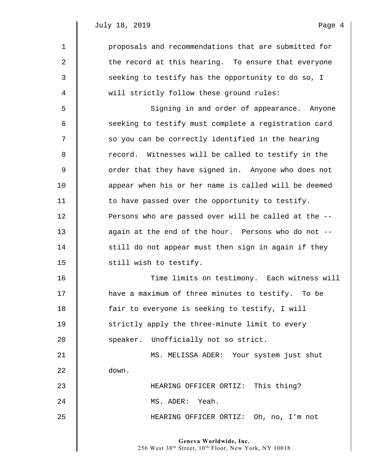$\parallel$ 

| $\mathbf 1$ | proposals and recommendations that are submitted for |
|-------------|------------------------------------------------------|
| 2           | the record at this hearing. To ensure that everyone  |
| 3           | seeking to testify has the opportunity to do so, I   |
| 4           | will strictly follow these ground rules:             |
| 5           | Signing in and order of appearance. Anyone           |
| 6           | seeking to testify must complete a registration card |
| 7           | so you can be correctly identified in the hearing    |
| 8           | record. Witnesses will be called to testify in the   |
| $\mathsf 9$ | order that they have signed in. Anyone who does not  |
| 10          | appear when his or her name is called will be deemed |
| 11          | to have passed over the opportunity to testify.      |
| 12          | Persons who are passed over will be called at the -- |
| 13          | again at the end of the hour. Persons who do not --  |
| 14          | still do not appear must then sign in again if they  |
| 15          | still wish to testify.                               |
| 16          | Time limits on testimony. Each witness will          |
| 17          | have a maximum of three minutes to testify. To be    |
| 18          | fair to everyone is seeking to testify, I will       |
| 19          | strictly apply the three-minute limit to every       |
| 20          | speaker. Unofficially not so strict.                 |
| 21          | MS. MELISSA ADER: Your system just shut              |
| 22          | down.                                                |
| 23          | HEARING OFFICER ORTIZ: This thing?                   |
| 24          | MS. ADER: Yeah.                                      |
| 25          | HEARING OFFICER ORTIZ: Oh, no, I'm not               |
|             |                                                      |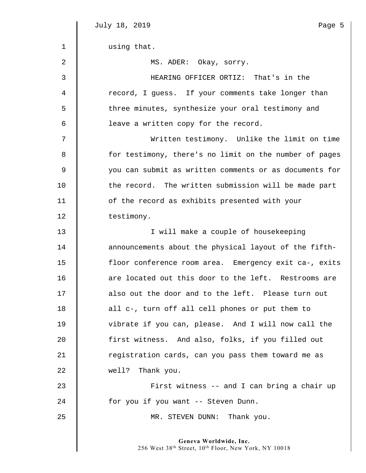|             | July 18, 2019<br>Page 5                                |
|-------------|--------------------------------------------------------|
| $\mathbf 1$ | using that.                                            |
| 2           | MS. ADER: Okay, sorry.                                 |
| 3           | HEARING OFFICER ORTIZ: That's in the                   |
| 4           | record, I guess. If your comments take longer than     |
| 5           | three minutes, synthesize your oral testimony and      |
| 6           | leave a written copy for the record.                   |
| 7           | Written testimony. Unlike the limit on time            |
| 8           | for testimony, there's no limit on the number of pages |
| $\mathsf 9$ | you can submit as written comments or as documents for |
| 10          | the record. The written submission will be made part   |
| 11          | of the record as exhibits presented with your          |
| 12          | testimony.                                             |
| 13          | I will make a couple of housekeeping                   |
| 14          | announcements about the physical layout of the fifth-  |
| 15          | floor conference room area. Emergency exit ca-, exits  |
| 16          | are located out this door to the left. Restrooms are   |
| 17          | also out the door and to the left. Please turn out     |
| 18          | all c-, turn off all cell phones or put them to        |
| 19          | vibrate if you can, please. And I will now call the    |
| 20          | first witness. And also, folks, if you filled out      |
| 21          | registration cards, can you pass them toward me as     |
| 22          | Thank you.<br>well?                                    |
| 23          | First witness -- and I can bring a chair up            |
| 24          | for you if you want -- Steven Dunn.                    |
| 25          | MR. STEVEN DUNN: Thank you.                            |
|             |                                                        |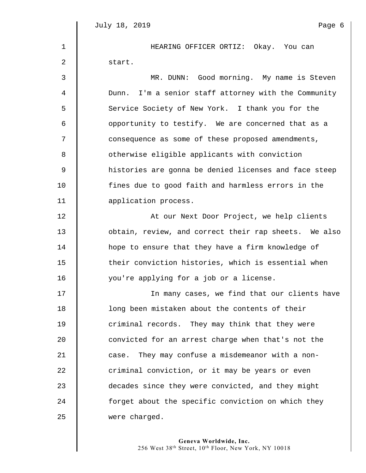1 HEARING OFFICER ORTIZ: Okay. You can 2 | start.

3 MR. DUNN: Good morning. My name is Steven 4 Dunn. I'm a senior staff attorney with the Community 5 | Service Society of New York. I thank you for the 6 || opportunity to testify. We are concerned that as a 7 || consequence as some of these proposed amendments, 8 S otherwise eligible applicants with conviction 9 histories are gonna be denied licenses and face steep 10 fines due to good faith and harmless errors in the 11 **I** application process. 12 || At our Next Door Project, we help clients 13 | obtain, review, and correct their rap sheets. We also 14 **h** hope to ensure that they have a firm knowledge of 15 | their conviction histories, which is essential when 16 | you're applying for a job or a license. 17 In many cases, we find that our clients have 18 | Cong been mistaken about the contents of their 19 **criminal records.** They may think that they were 20 convicted for an arrest charge when that's not the 21 case. They may confuse a misdemeanor with a non-22 | criminal conviction, or it may be years or even 23 decades since they were convicted, and they might 24 **forget about the specific conviction on which they** 25 **were charged.**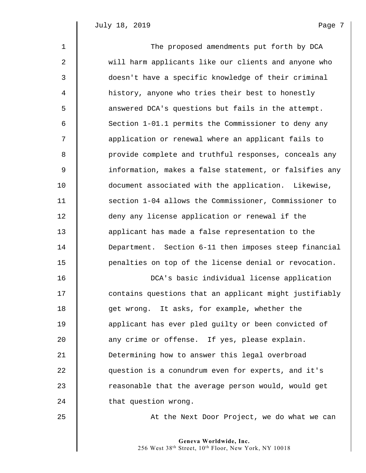| $\mathbf{1}$     | The proposed amendments put forth by DCA               |
|------------------|--------------------------------------------------------|
| $\boldsymbol{2}$ | will harm applicants like our clients and anyone who   |
| 3                | doesn't have a specific knowledge of their criminal    |
| $\overline{4}$   | history, anyone who tries their best to honestly       |
| 5                | answered DCA's questions but fails in the attempt.     |
| 6                | Section 1-01.1 permits the Commissioner to deny any    |
| 7                | application or renewal where an applicant fails to     |
| 8                | provide complete and truthful responses, conceals any  |
| $\mathsf 9$      | information, makes a false statement, or falsifies any |
| 10               | document associated with the application. Likewise,    |
| 11               | section 1-04 allows the Commissioner, Commissioner to  |
| 12               | deny any license application or renewal if the         |
| 13               | applicant has made a false representation to the       |
| 14               | Department. Section 6-11 then imposes steep financial  |
| 15               | penalties on top of the license denial or revocation.  |
| 16               | DCA's basic individual license application             |
| 17               | contains questions that an applicant might justifiably |
| 18               | get wrong. It asks, for example, whether the           |
| 19               | applicant has ever pled guilty or been convicted of    |
| 20               | any crime or offense. If yes, please explain.          |
| 21               | Determining how to answer this legal overbroad         |
| 22               | question is a conundrum even for experts, and it's     |
| 23               | reasonable that the average person would, would get    |
| 24               | that question wrong.                                   |
| 25               | At the Next Door Project, we do what we can            |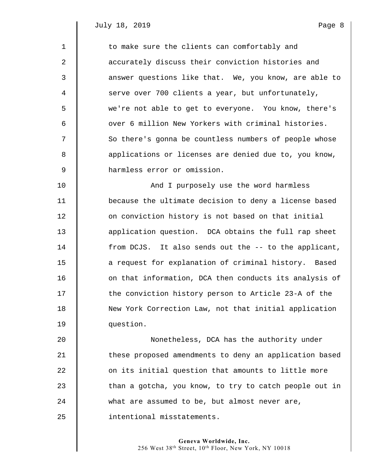| $\mathbf 1$ | to make sure the clients can comfortably and           |
|-------------|--------------------------------------------------------|
| 2           | accurately discuss their conviction histories and      |
| 3           | answer questions like that. We, you know, are able to  |
| 4           | serve over 700 clients a year, but unfortunately,      |
| 5           | we're not able to get to everyone. You know, there's   |
| 6           | over 6 million New Yorkers with criminal histories.    |
| 7           | So there's gonna be countless numbers of people whose  |
| 8           | applications or licenses are denied due to, you know,  |
| 9           | harmless error or omission.                            |
| 10          | And I purposely use the word harmless                  |
| 11          | because the ultimate decision to deny a license based  |
| 12          | on conviction history is not based on that initial     |
| 13          | application question. DCA obtains the full rap sheet   |
| 14          | from DCJS. It also sends out the -- to the applicant,  |
| 15          | a request for explanation of criminal history. Based   |
| 16          | on that information, DCA then conducts its analysis of |
| 17          | the conviction history person to Article 23-A of the   |
| 18          | New York Correction Law, not that initial application  |
| 19          | question.                                              |
| 20          | Nonetheless, DCA has the authority under               |
| 21          | these proposed amendments to deny an application based |
| 22          | on its initial question that amounts to little more    |
| 23          | than a gotcha, you know, to try to catch people out in |
| 24          | what are assumed to be, but almost never are,          |

25 **intentional misstatements.**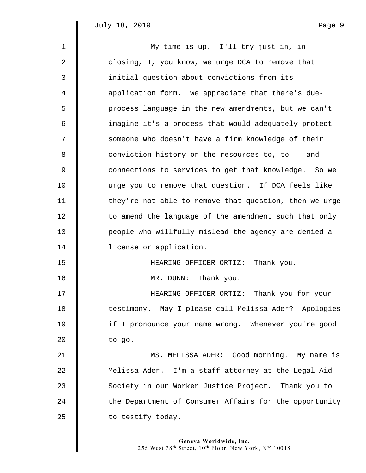$\parallel$ 

| $\mathbf{1}$ | My time is up. I'll try just in, in                    |
|--------------|--------------------------------------------------------|
| 2            | closing, I, you know, we urge DCA to remove that       |
| 3            | initial question about convictions from its            |
| 4            | application form. We appreciate that there's due-      |
| 5            | process language in the new amendments, but we can't   |
| 6            | imagine it's a process that would adequately protect   |
| 7            | someone who doesn't have a firm knowledge of their     |
| 8            | conviction history or the resources to, to -- and      |
| $\mathsf 9$  | connections to services to get that knowledge. So we   |
| 10           | urge you to remove that question. If DCA feels like    |
| 11           | they're not able to remove that question, then we urge |
| 12           | to amend the language of the amendment such that only  |
| 13           | people who willfully mislead the agency are denied a   |
| 14           | license or application.                                |
| 15           | HEARING OFFICER ORTIZ: Thank you.                      |
| 16           | MR. DUNN: Thank you.                                   |
| 17           | HEARING OFFICER ORTIZ: Thank you for your              |
| 18           | testimony. May I please call Melissa Ader? Apologies   |
| 19           | if I pronounce your name wrong. Whenever you're good   |
| 20           | to go.                                                 |
| 21           | MS. MELISSA ADER: Good morning. My name is             |
| 22           | Melissa Ader. I'm a staff attorney at the Legal Aid    |
| 23           | Society in our Worker Justice Project. Thank you to    |
| 24           | the Department of Consumer Affairs for the opportunity |
| 25           | to testify today.                                      |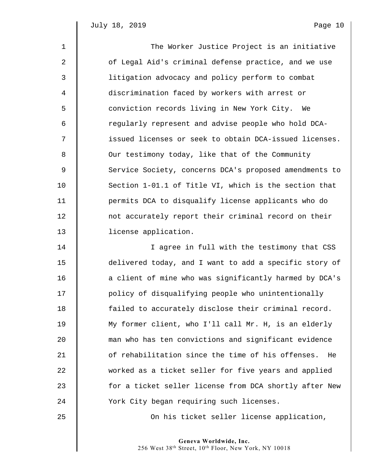| $\mathbf{1}$   | The Worker Justice Project is an initiative            |
|----------------|--------------------------------------------------------|
| $\overline{a}$ | of Legal Aid's criminal defense practice, and we use   |
| 3              | litigation advocacy and policy perform to combat       |
| 4              | discrimination faced by workers with arrest or         |
| 5              | conviction records living in New York City.<br>We      |
| 6              | regularly represent and advise people who hold DCA-    |
| 7              | issued licenses or seek to obtain DCA-issued licenses. |
| 8              | Our testimony today, like that of the Community        |
| $\overline{9}$ | Service Society, concerns DCA's proposed amendments to |
| 10             | Section 1-01.1 of Title VI, which is the section that  |
| 11             | permits DCA to disqualify license applicants who do    |
| 12             | not accurately report their criminal record on their   |
| 13             | license application.                                   |
| 14             | I agree in full with the testimony that CSS            |
| 15             | delivered today, and I want to add a specific story of |

15 delivered today, and I want to add a specific story of 16 | a client of mine who was significantly harmed by DCA's 17 | policy of disqualifying people who unintentionally 18 **failed to accurately disclose their criminal record.** 19 My former client, who I'll call Mr. H, is an elderly 20 man who has ten convictions and significant evidence 21 **b** of rehabilitation since the time of his offenses. He 22 worked as a ticket seller for five years and applied 23 for a ticket seller license from DCA shortly after New 24 Vork City began requiring such licenses.

25 || Con his ticket seller license application,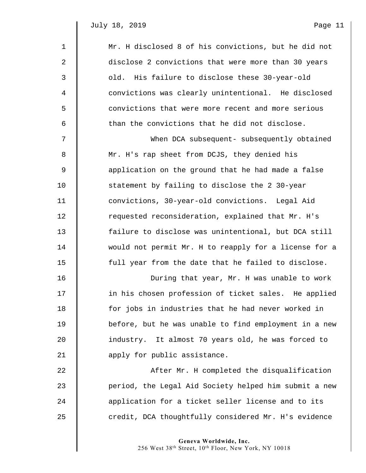| 1                | Mr. H disclosed 8 of his convictions, but he did not  |
|------------------|-------------------------------------------------------|
| $\boldsymbol{2}$ | disclose 2 convictions that were more than 30 years   |
| $\mathfrak{Z}$   | old. His failure to disclose these 30-year-old        |
| 4                | convictions was clearly unintentional. He disclosed   |
| 5                | convictions that were more recent and more serious    |
| 6                | than the convictions that he did not disclose.        |
| 7                | When DCA subsequent- subsequently obtained            |
| 8                | Mr. H's rap sheet from DCJS, they denied his          |
| 9                | application on the ground that he had made a false    |
| 10               | statement by failing to disclose the 2 30-year        |
| 11               | convictions, 30-year-old convictions. Legal Aid       |
| 12               | requested reconsideration, explained that Mr. H's     |
| 13               | failure to disclose was unintentional, but DCA still  |
| 14               | would not permit Mr. H to reapply for a license for a |
| 15               | full year from the date that he failed to disclose.   |
| 16               | During that year, Mr. H was unable to work            |
| 17               | in his chosen profession of ticket sales. He applied  |
| 18               | for jobs in industries that he had never worked in    |
| 19               | before, but he was unable to find employment in a new |
| 20               | industry. It almost 70 years old, he was forced to    |
| 21               | apply for public assistance.                          |
| 22               | After Mr. H completed the disqualification            |
| 23               | period, the Legal Aid Society helped him submit a new |

25 credit, DCA thoughtfully considered Mr. H's evidence

24 **d** application for a ticket seller license and to its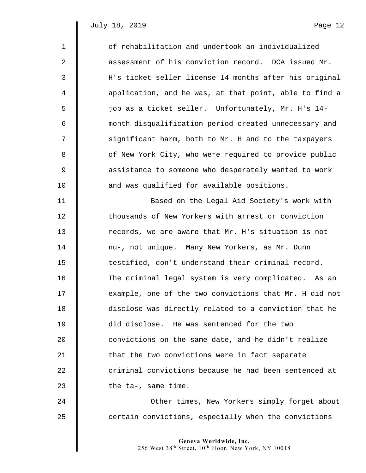| $\mathbf{1}$ | of rehabilitation and undertook an individualized      |
|--------------|--------------------------------------------------------|
| 2            | assessment of his conviction record. DCA issued Mr.    |
| 3            | H's ticket seller license 14 months after his original |
| 4            | application, and he was, at that point, able to find a |
| 5            | job as a ticket seller. Unfortunately, Mr. H's 14-     |
| 6            | month disqualification period created unnecessary and  |
| 7            | significant harm, both to Mr. H and to the taxpayers   |
| 8            | of New York City, who were required to provide public  |
| 9            | assistance to someone who desperately wanted to work   |
| 10           | and was qualified for available positions.             |
| 11           | Based on the Legal Aid Society's work with             |
| 12           | thousands of New Yorkers with arrest or conviction     |
| 13           | records, we are aware that Mr. H's situation is not    |
| 14           | nu-, not unique. Many New Yorkers, as Mr. Dunn         |
| 15           | testified, don't understand their criminal record.     |
| 16           | The criminal legal system is very complicated. As an   |
| 17           | example, one of the two convictions that Mr. H did not |
| 18           | disclose was directly related to a conviction that he  |
| 19           | did disclose. He was sentenced for the two             |
| 20           | convictions on the same date, and he didn't realize    |
| 21           | that the two convictions were in fact separate         |
| 22           | criminal convictions because he had been sentenced at  |
| 23           | the $ta-,$ same time.                                  |
| 24           | Other times, New Yorkers simply forget about           |

25  $\parallel$  certain convictions, especially when the convictions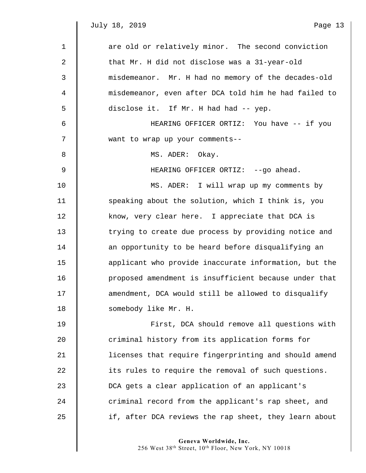| $\mathbf{1}$ | are old or relatively minor. The second conviction    |
|--------------|-------------------------------------------------------|
| 2            | that Mr. H did not disclose was a 31-year-old         |
| 3            | misdemeanor. Mr. H had no memory of the decades-old   |
| 4            | misdemeanor, even after DCA told him he had failed to |
| 5            | disclose it. If Mr. H had had -- yep.                 |
| 6            | HEARING OFFICER ORTIZ: You have -- if you             |
| 7            | want to wrap up your comments--                       |
| 8            | MS. ADER: Okay.                                       |
| $\mathsf 9$  | HEARING OFFICER ORTIZ: --go ahead.                    |
| 10           | MS. ADER: I will wrap up my comments by               |
| 11           | speaking about the solution, which I think is, you    |
| 12           | know, very clear here. I appreciate that DCA is       |
| 13           | trying to create due process by providing notice and  |
| 14           | an opportunity to be heard before disqualifying an    |
| 15           | applicant who provide inaccurate information, but the |
| 16           | proposed amendment is insufficient because under that |
| 17           | amendment, DCA would still be allowed to disqualify   |
| 18           | somebody like Mr. H.                                  |
| 19           | First, DCA should remove all questions with           |
| 20           | criminal history from its application forms for       |
| 21           | licenses that require fingerprinting and should amend |
| 22           | its rules to require the removal of such questions.   |
| 23           | DCA gets a clear application of an applicant's        |
| 24           | criminal record from the applicant's rap sheet, and   |

25 | if, after DCA reviews the rap sheet, they learn about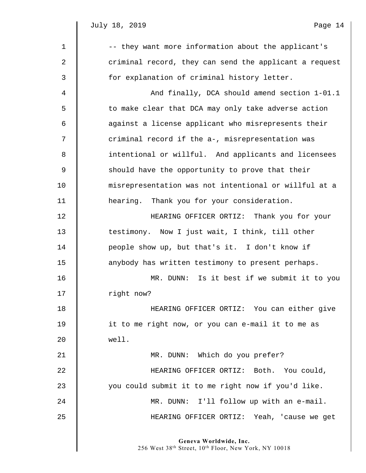| $\mathbf 1$      | -- they want more information about the applicant's    |
|------------------|--------------------------------------------------------|
| $\boldsymbol{2}$ | criminal record, they can send the applicant a request |
| 3                | for explanation of criminal history letter.            |
| 4                | And finally, DCA should amend section 1-01.1           |
| 5                | to make clear that DCA may only take adverse action    |
| 6                | against a license applicant who misrepresents their    |
| 7                | criminal record if the a-, misrepresentation was       |
| 8                | intentional or willful. And applicants and licensees   |
| $\mathsf 9$      | should have the opportunity to prove that their        |
| 10               | misrepresentation was not intentional or willful at a  |
| 11               | hearing. Thank you for your consideration.             |
| 12               | HEARING OFFICER ORTIZ: Thank you for your              |
| 13               | testimony. Now I just wait, I think, till other        |
| 14               | people show up, but that's it. I don't know if         |
| 15               | anybody has written testimony to present perhaps.      |
| 16               | Is it best if we submit it to you<br>MR. DUNN:         |
| 17               | right now?                                             |
| 18               | HEARING OFFICER ORTIZ: You can either give             |
| 19               | it to me right now, or you can e-mail it to me as      |
| 20               | well.                                                  |
| 21               | MR. DUNN: Which do you prefer?                         |
| 22               | HEARING OFFICER ORTIZ: Both. You could,                |
| 23               | you could submit it to me right now if you'd like.     |
| 24               | MR. DUNN: I'll follow up with an e-mail.               |
| 25               | HEARING OFFICER ORTIZ: Yeah, 'cause we get             |
|                  |                                                        |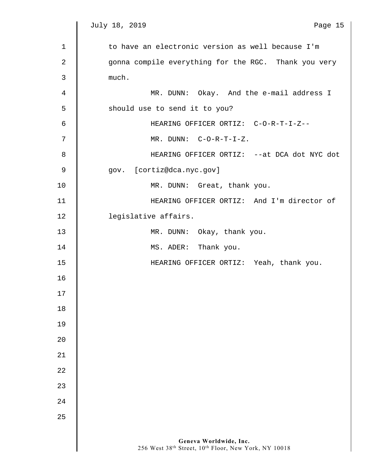$\parallel$ 

| $\mathbf{1}$ | to have an electronic version as well because I'm                              |
|--------------|--------------------------------------------------------------------------------|
| 2            | gonna compile everything for the RGC. Thank you very                           |
| 3            | much.                                                                          |
| 4            | MR. DUNN: Okay. And the e-mail address I                                       |
| 5            | should use to send it to you?                                                  |
| 6            | HEARING OFFICER ORTIZ: C-O-R-T-I-Z--                                           |
| 7            | $MR.$ DUNN: $C-O-R-T-I-Z.$                                                     |
| 8            | HEARING OFFICER ORTIZ: -- at DCA dot NYC dot                                   |
| 9            | gov. [cortiz@dca.nyc.gov]                                                      |
| 10           | MR. DUNN: Great, thank you.                                                    |
| 11           | HEARING OFFICER ORTIZ: And I'm director of                                     |
| 12           | legislative affairs.                                                           |
| 13           | MR. DUNN: Okay, thank you.                                                     |
| 14           | MS. ADER: Thank you.                                                           |
| 15           | HEARING OFFICER ORTIZ: Yeah, thank you.                                        |
| 16           |                                                                                |
| 17           |                                                                                |
| 18           |                                                                                |
| 19           |                                                                                |
| 20           |                                                                                |
| 21           |                                                                                |
| 22           |                                                                                |
| 23           |                                                                                |
| 24           |                                                                                |
| 25           |                                                                                |
|              |                                                                                |
|              | Geneva Worldwide, Inc.<br>256 West 38th Street, 10th Floor, New York, NY 10018 |